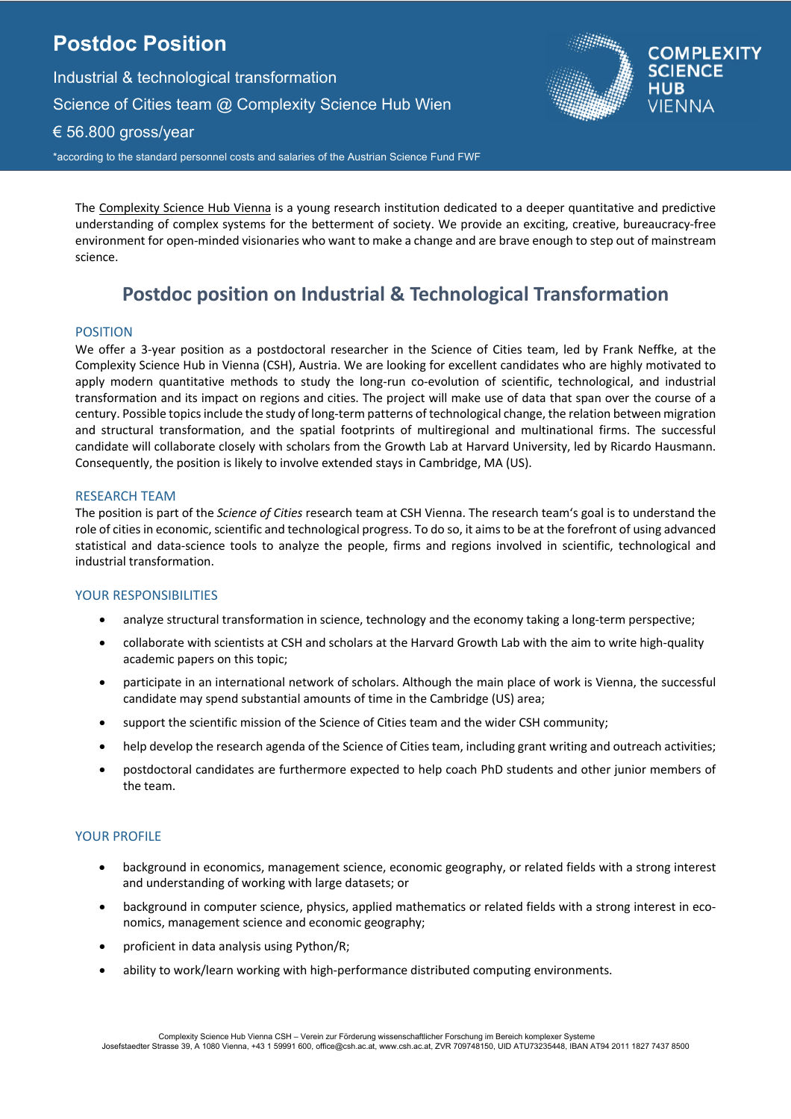# **Postdoc Position**

Industrial & technological transformation Science of Cities team @ Complexity Science Hub Wien € 56.800 gross/year \*according to the standard personnel costs and salaries of the Austrian Science Fund FWF



## **COMPLEXIT SCIENCE** HUB **VIFNNA**

The Complexity Science Hub Vienna is a young research institution dedicated to a deeper quantitative and predictive understanding of complex systems for the betterment of society. We provide an exciting, creative, bureaucracy-free environment for open-minded visionaries who want to make a change and are brave enough to step out of mainstream science.

# **Postdoc position on Industrial & Technological Transformation**

### POSITION

We offer a 3-year position as a postdoctoral researcher in the Science of Cities team, led by Frank Neffke, at the Complexity Science Hub in Vienna (CSH), Austria. We are looking for excellent candidates who are highly motivated to apply modern quantitative methods to study the long-run co-evolution of scientific, technological, and industrial transformation and its impact on regions and cities. The project will make use of data that span over the course of a century. Possible topics include the study of long-term patterns of technological change, the relation between migration and structural transformation, and the spatial footprints of multiregional and multinational firms. The successful candidate will collaborate closely with scholars from the Growth Lab at Harvard University, led by Ricardo Hausmann. Consequently, the position is likely to involve extended stays in Cambridge, MA (US).

#### RESEARCH TEAM

The position is part of the *Science of Cities* research team at CSH Vienna. The research team's goal is to understand the role of cities in economic, scientific and technological progress. To do so, it aims to be at the forefront of using advanced statistical and data-science tools to analyze the people, firms and regions involved in scientific, technological and industrial transformation.

### YOUR RESPONSIBILITIES

- analyze structural transformation in science, technology and the economy taking a long-term perspective;
- collaborate with scientists at CSH and scholars at the Harvard Growth Lab with the aim to write high-quality academic papers on this topic;
- participate in an international network of scholars. Although the main place of work is Vienna, the successful candidate may spend substantial amounts of time in the Cambridge (US) area;
- support the scientific mission of the Science of Cities team and the wider CSH community;
- help develop the research agenda of the Science of Cities team, including grant writing and outreach activities;
- postdoctoral candidates are furthermore expected to help coach PhD students and other junior members of the team.

#### YOUR PROFILE

- background in economics, management science, economic geography, or related fields with a strong interest and understanding of working with large datasets; or
- background in computer science, physics, applied mathematics or related fields with a strong interest in economics, management science and economic geography;
- proficient in data analysis using Python/R;
- ability to work/learn working with high-performance distributed computing environments.